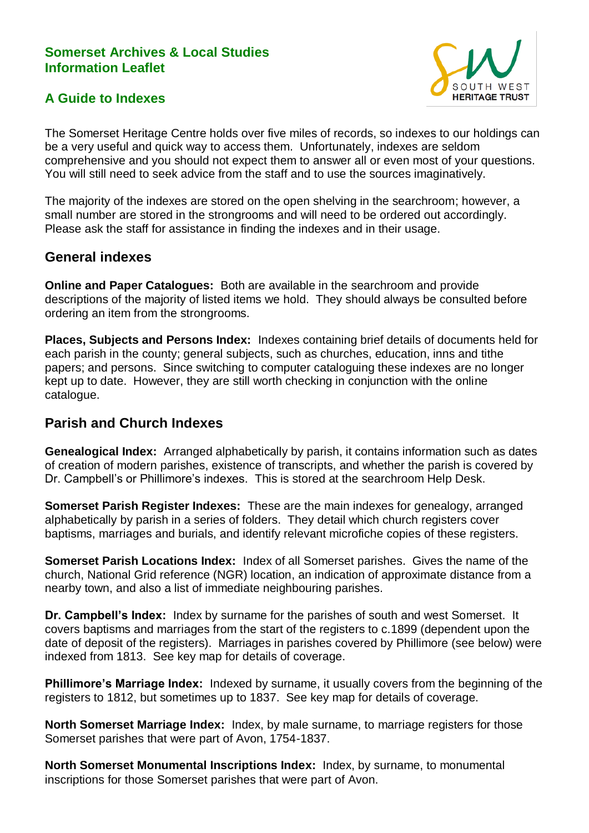### **Somerset Archives & Local Studies Information Leaflet**





The Somerset Heritage Centre holds over five miles of records, so indexes to our holdings can be a very useful and quick way to access them. Unfortunately, indexes are seldom comprehensive and you should not expect them to answer all or even most of your questions. You will still need to seek advice from the staff and to use the sources imaginatively.

The majority of the indexes are stored on the open shelving in the searchroom; however, a small number are stored in the strongrooms and will need to be ordered out accordingly. Please ask the staff for assistance in finding the indexes and in their usage.

## **General indexes**

**Online and Paper Catalogues:** Both are available in the searchroom and provide descriptions of the majority of listed items we hold. They should always be consulted before ordering an item from the strongrooms.

**Places, Subjects and Persons Index:** Indexes containing brief details of documents held for each parish in the county; general subjects, such as churches, education, inns and tithe papers; and persons. Since switching to computer cataloguing these indexes are no longer kept up to date. However, they are still worth checking in conjunction with the online catalogue.

# **Parish and Church Indexes**

**Genealogical Index:** Arranged alphabetically by parish, it contains information such as dates of creation of modern parishes, existence of transcripts, and whether the parish is covered by Dr. Campbell's or Phillimore's indexes. This is stored at the searchroom Help Desk.

**Somerset Parish Register Indexes:** These are the main indexes for genealogy, arranged alphabetically by parish in a series of folders. They detail which church registers cover baptisms, marriages and burials, and identify relevant microfiche copies of these registers.

**Somerset Parish Locations Index:** Index of all Somerset parishes. Gives the name of the church, National Grid reference (NGR) location, an indication of approximate distance from a nearby town, and also a list of immediate neighbouring parishes.

**Dr. Campbell's Index:** Index by surname for the parishes of south and west Somerset. It covers baptisms and marriages from the start of the registers to c.1899 (dependent upon the date of deposit of the registers). Marriages in parishes covered by Phillimore (see below) were indexed from 1813. See key map for details of coverage.

**Phillimore's Marriage Index:** Indexed by surname, it usually covers from the beginning of the registers to 1812, but sometimes up to 1837. See key map for details of coverage.

**North Somerset Marriage Index:** Index, by male surname, to marriage registers for those Somerset parishes that were part of Avon, 1754-1837.

**North Somerset Monumental Inscriptions Index:** Index, by surname, to monumental inscriptions for those Somerset parishes that were part of Avon.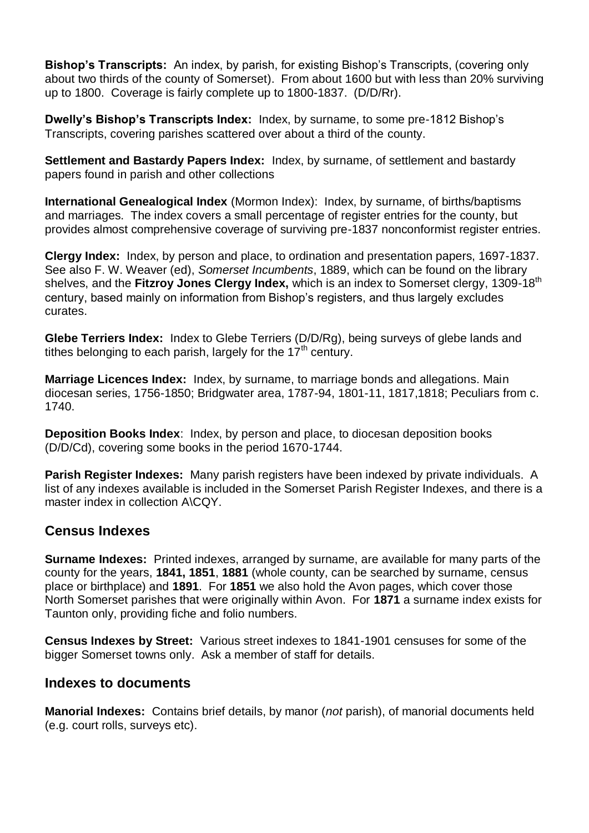**Bishop's Transcripts:** An index, by parish, for existing Bishop's Transcripts, (covering only about two thirds of the county of Somerset). From about 1600 but with less than 20% surviving up to 1800. Coverage is fairly complete up to 1800-1837. (D/D/Rr).

**Dwelly's Bishop's Transcripts Index:** Index, by surname, to some pre-1812 Bishop's Transcripts, covering parishes scattered over about a third of the county.

**Settlement and Bastardy Papers Index:** Index, by surname, of settlement and bastardy papers found in parish and other collections

**International Genealogical Index** (Mormon Index): Index, by surname, of births/baptisms and marriages. The index covers a small percentage of register entries for the county, but provides almost comprehensive coverage of surviving pre-1837 nonconformist register entries.

**Clergy Index:** Index, by person and place, to ordination and presentation papers, 1697-1837. See also F. W. Weaver (ed), *Somerset Incumbents*, 1889, which can be found on the library shelves, and the **Fitzroy Jones Clergy Index,** which is an index to Somerset clergy, 1309-18<sup>th</sup> century, based mainly on information from Bishop's registers, and thus largely excludes curates.

**Glebe Terriers Index:** Index to Glebe Terriers (D/D/Rg), being surveys of glebe lands and tithes belonging to each parish, largely for the  $17<sup>th</sup>$  century.

**Marriage Licences Index:** Index, by surname, to marriage bonds and allegations. Main diocesan series, 1756-1850; Bridgwater area, 1787-94, 1801-11, 1817,1818; Peculiars from c. 1740.

**Deposition Books Index**: Index, by person and place, to diocesan deposition books (D/D/Cd), covering some books in the period 1670-1744.

**Parish Register Indexes:** Many parish registers have been indexed by private individuals. A list of any indexes available is included in the Somerset Parish Register Indexes, and there is a master index in collection A\CQY.

## **Census Indexes**

**Surname Indexes:** Printed indexes, arranged by surname, are available for many parts of the county for the years, **1841, 1851**, **1881** (whole county, can be searched by surname, census place or birthplace) and **1891**. For **1851** we also hold the Avon pages, which cover those North Somerset parishes that were originally within Avon. For **1871** a surname index exists for Taunton only, providing fiche and folio numbers.

**Census Indexes by Street:** Various street indexes to 1841-1901 censuses for some of the bigger Somerset towns only. Ask a member of staff for details.

#### **Indexes to documents**

**Manorial Indexes:** Contains brief details, by manor (*not* parish), of manorial documents held (e.g. court rolls, surveys etc).